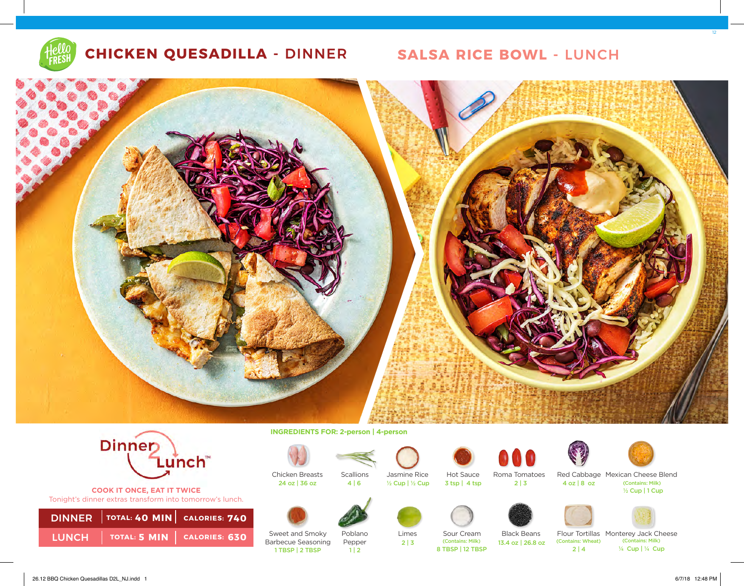

# **CHICKEN QUESADILLA -** DINNER **SALSA RICE BOWL -** LUNCH





**COOK IT ONCE, EAT IT TWICE**  Tonight's dinner extras transform into tomorrow's lunch.

|  | DINNER   TOTAL: 40 MIN   CALORIES: 740 |                                              |                   |             |
|--|----------------------------------------|----------------------------------------------|-------------------|-------------|
|  | LUNCH   TOTAL: 5 MIN   CALORIES: 630   | Sweet and Smoky<br><b>Barbecue Seasoning</b> | Poblano<br>Pepper | Lime<br>2 3 |

**INGREDIENTS FOR: 2-person | 4-person** 



1 TBSP | 2 TBSP | 2 1 | 2

24 oz | 36 oz



Hot Sauce Jasmine Rice 4 | 6 ½ Cup | ½ Cup 3 tsp | 4 tsp







Sour Cream<br>(Contains: Milk)

8 TBSP | 12 TBSP

Roma Tomatoes





Red Cabbage Mexican Cheese Blend (Contains: Milk)  $\frac{1}{2}$  Cup | 1 Cup  $2 | 3$  4 oz | 8 oz



Black Beans



 $2 | 4$ 



Flour Tortillas Monterey Jack Cheese<br>(Contains: Wheat) (Contains: Milk) (Contains: Milk) 13.4 oz | 26.8 oz (Contains: Wheat)

(Contains: Milk) ¼ Cup | ¼ Cup

26.12 BBQ Chicken Quesadillas D2L\_NJ.indd 1 6/7/18 12:48 PM

12